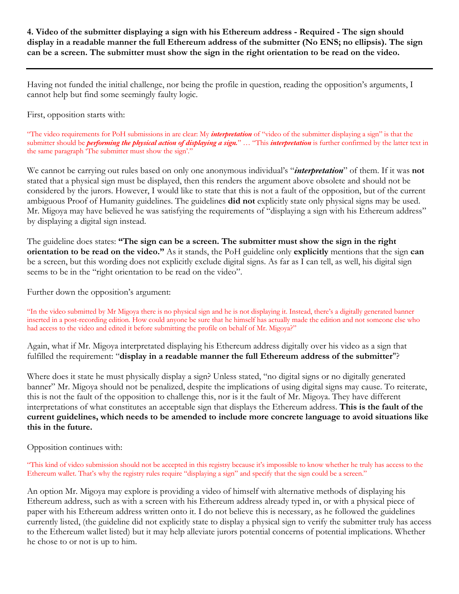## **4. Video of the submitter displaying a sign with his Ethereum address - Required - The sign should display in a readable manner the full Ethereum address of the submitter (No ENS; no ellipsis). The sign can be a screen. The submitter must show the sign in the right orientation to be read on the video.**

Having not funded the initial challenge, nor being the profile in question, reading the opposition's arguments, I cannot help but find some seemingly faulty logic.

First, opposition starts with:

"The video requirements for PoH submissions in are clear: My *interpretation* of "video of the submitter displaying a sign" is that the submitter should be *performing the physical action of displaying a sign.*" … "This *interpretation* is further confirmed by the latter text in the same paragraph 'The submitter must show the sign'."

We cannot be carrying out rules based on only one anonymous individual's "*interpretation*" of them. If it was **not** stated that a physical sign must be displayed, then this renders the argument above obsolete and should not be considered by the jurors. However, I would like to state that this is not a fault of the opposition, but of the current ambiguous Proof of Humanity guidelines. The guidelines **did not** explicitly state only physical signs may be used. Mr. Migoya may have believed he was satisfying the requirements of "displaying a sign with his Ethereum address" by displaying a digital sign instead.

The guideline does states: **"The sign can be a screen. The submitter must show the sign in the right orientation to be read on the video."** As it stands, the PoH guideline only **explicitly** mentions that the sign **can** be a screen, but this wording does not explicitly exclude digital signs. As far as I can tell, as well, his digital sign seems to be in the "right orientation to be read on the video".

Further down the opposition's argument:

"In the video submitted by Mr Migoya there is no physical sign and he is not displaying it. Instead, there's a digitally generated banner inserted in a post-recording edition. How could anyone be sure that he himself has actually made the edition and not someone else who had access to the video and edited it before submitting the profile on behalf of Mr. Migoya?"

Again, what if Mr. Migoya interpretated displaying his Ethereum address digitally over his video as a sign that fulfilled the requirement: "**display in a readable manner the full Ethereum address of the submitter**"?

Where does it state he must physically display a sign? Unless stated, "no digital signs or no digitally generated banner" Mr. Migoya should not be penalized, despite the implications of using digital signs may cause. To reiterate, this is not the fault of the opposition to challenge this, nor is it the fault of Mr. Migoya. They have different interpretations of what constitutes an acceptable sign that displays the Ethereum address. **This is the fault of the current guidelines, which needs to be amended to include more concrete language to avoid situations like this in the future.**

Opposition continues with:

"This kind of video submission should not be accepted in this registry because it's impossible to know whether he truly has access to the Ethereum wallet. That's why the registry rules require "displaying a sign" and specify that the sign could be a screen."

An option Mr. Migoya may explore is providing a video of himself with alternative methods of displaying his Ethereum address, such as with a screen with his Ethereum address already typed in, or with a physical piece of paper with his Ethereum address written onto it. I do not believe this is necessary, as he followed the guidelines currently listed, (the guideline did not explicitly state to display a physical sign to verify the submitter truly has access to the Ethereum wallet listed) but it may help alleviate jurors potential concerns of potential implications. Whether he chose to or not is up to him.